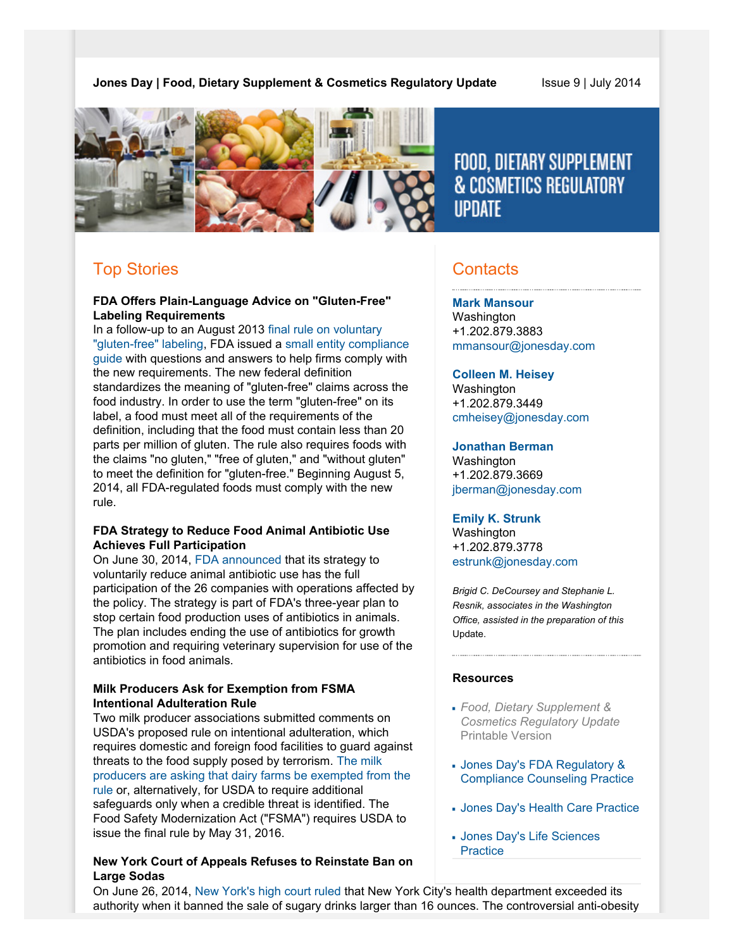# **Jones Day | Food, Dietary Supplement & Cosmetics Regulatory Update State 9 | July 2014**



FOOD, DIETARY SUPPLEMENT **& COSMETICS REGULATORY IIPDATE** 

# Top Stories

## **FDA Offers Plain-Language Advice on "Gluten-Free" Labeling Requirements**

In a follow-up to an August 2013 [final rule on voluntary](http://www.fda.gov/NewsEvents/Newsroom/PressAnnouncements/ucm363474.htm) ["gluten-free" labeling,](http://www.fda.gov/NewsEvents/Newsroom/PressAnnouncements/ucm363474.htm) FDA issued a [small entity compliance](http://www.fda.gov/downloads/Food/GuidanceRegulation/GuidanceDocumentsRegulatoryInformation/UCM402559.pdf) [guide](http://www.fda.gov/downloads/Food/GuidanceRegulation/GuidanceDocumentsRegulatoryInformation/UCM402559.pdf) with questions and answers to help firms comply with the new requirements. The new federal definition standardizes the meaning of "gluten-free" claims across the food industry. In order to use the term "gluten-free" on its label, a food must meet all of the requirements of the definition, including that the food must contain less than 20 parts per million of gluten. The rule also requires foods with the claims "no gluten," "free of gluten," and "without gluten" to meet the definition for "gluten-free." Beginning August 5, 2014, all FDA-regulated foods must comply with the new rule.

# **FDA Strategy to Reduce Food Animal Antibiotic Use Achieves Full Participation**

On June 30, 2014, [FDA announced](http://www.fda.gov/AnimalVeterinary/NewsEvents/CVMUpdates/ucm403285.htm) that its strategy to voluntarily reduce animal antibiotic use has the full participation of the 26 companies with operations affected by the policy. The strategy is part of FDA's three-year plan to stop certain food production uses of antibiotics in animals. The plan includes ending the use of antibiotics for growth promotion and requiring veterinary supervision for use of the antibiotics in food animals.

# **Milk Producers Ask for Exemption from FSMA Intentional Adulteration Rule**

Two milk producer associations submitted comments on USDA's proposed rule on intentional adulteration, which requires domestic and foreign food facilities to guard against threats to the food supply posed by terrorism. [The milk](http://www.foodsafetynews.com/2014/07/milk-producers-want-dairies-exempted-from-fsma-intentional-adulteration-rule/#.U7nHdvnD_WI) [producers are asking that dairy farms be exempted from the](http://www.foodsafetynews.com/2014/07/milk-producers-want-dairies-exempted-from-fsma-intentional-adulteration-rule/#.U7nHdvnD_WI) [rule](http://www.foodsafetynews.com/2014/07/milk-producers-want-dairies-exempted-from-fsma-intentional-adulteration-rule/#.U7nHdvnD_WI) or, alternatively, for USDA to require additional safeguards only when a credible threat is identified. The Food Safety Modernization Act ("FSMA") requires USDA to issue the final rule by May 31, 2016.

# **New York Court of Appeals Refuses to Reinstate Ban on Large Sodas**

# **Contacts**

**[Mark Mansour](http://www.jonesday.com/mmansour)** Washington +1.202.879.3883 [mmansour@jonesday.com](mailto:mmansour@jonesday.com)

**[Colleen M. Heisey](http://www.jonesday.com/cmheisey)** Washington +1.202.879.3449 [cmheisey@jonesday.com](mailto:cmheisey@jonesday.com)

## **[Jonathan Berman](http://www.jonesday.com/jberman)**

Washington +1.202.879.3669 [jberman@jonesday.com](mailto:jberman@jonesday.com)

## **[Emily K. Strunk](http://www.jonesday.com/estrunk)**

Washington +1.202.879.3778 [estrunk@jonesday.com](mailto:estrunk@jonesday.com)

*Brigid C. DeCoursey and Stephanie L. Resnik, associates in the Washington Office, assisted in the preparation of this* Update.

## **Resources**

- *Food, Dietary Supplement & Cosmetics Regulatory Update* Printable Version
- [Jones Day's FDA Regulatory &](http://www.jonesday.com/fdaregulatoryandcompliancecounseling) [Compliance Counseling Practice](http://www.jonesday.com/fdaregulatoryandcompliancecounseling)
- [Jones Day's Health Care Practice](http://www.jonesday.com/health-care-practices/)
- [Jones Day's Life Sciences](http://www.jonesday.com/lifesciences/) **[Practice](http://www.jonesday.com/lifesciences/)**

On June 26, 2014, [New York's high court ruled](http://www.nytimes.com/2014/06/27/nyregion/city-loses-final-appeal-on-limiting-sales-of-large-sodas.html?_r=0) that New York City's health department exceeded its authority when it banned the sale of sugary drinks larger than 16 ounces. The controversial anti-obesity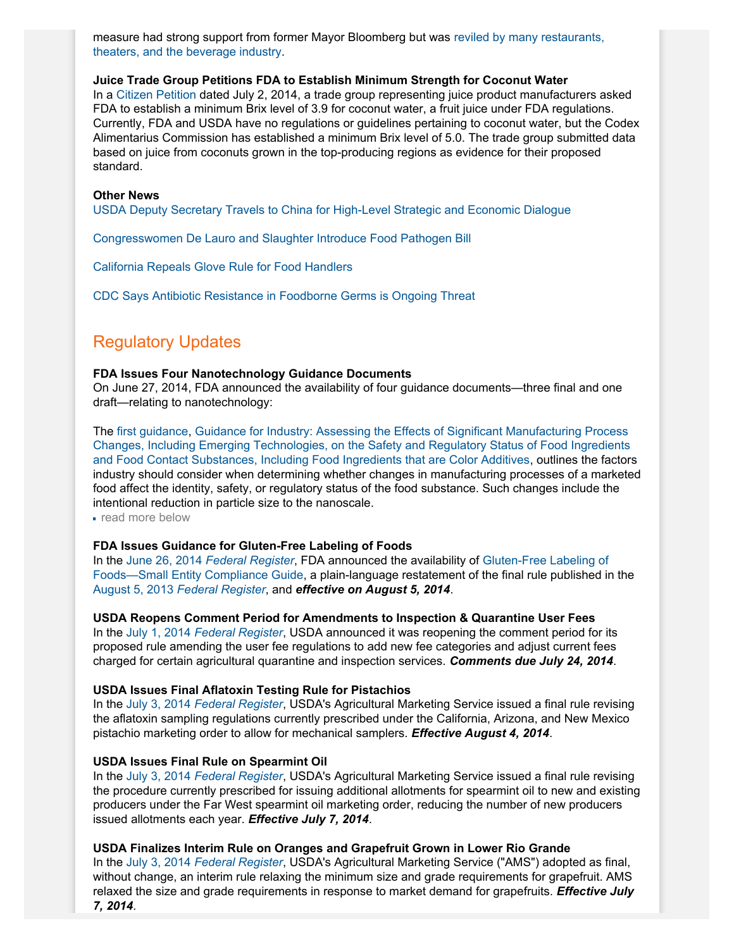measure had strong support from former Mayor Bloomberg but was [reviled by many restaurants,](http://thehill.com/policy/healthcare/210667-new-york-high-court-rejects-large-soda-ban) [theaters, and the beverage industry.](http://thehill.com/policy/healthcare/210667-new-york-high-court-rejects-large-soda-ban)

## **Juice Trade Group Petitions FDA to Establish Minimum Strength for Coconut Water**

In a [Citizen Petition](http://www.regulations.gov/#!documentDetail;D=FDA-2014-P-0935-0001) dated July 2, 2014, a trade group representing juice product manufacturers asked FDA to establish a minimum Brix level of 3.9 for coconut water, a fruit juice under FDA regulations. Currently, FDA and USDA have no regulations or guidelines pertaining to coconut water, but the Codex Alimentarius Commission has established a minimum Brix level of 5.0. The trade group submitted data based on juice from coconuts grown in the top-producing regions as evidence for their proposed standard.

### **Other News**

[USDA Deputy Secretary Travels to China for High-Level Strategic and Economic Dialogue](http://content.govdelivery.com/accounts/USDAOC/bulletins/c1e0ec)

[Congresswomen De Lauro and Slaughter Introduce Food Pathogen Bill](http://www.foodsafetynews.com/2014/06/congresswomen-propose-solution-to-adulterant-issue/#.U7nId_nD_WI)

[California Repeals Glove Rule for Food Handlers](http://www.latimes.com/food/dailydish/la-dd-california-jerry-brown-repeal-food-safety-law-gloves-20140630-story.html)

[CDC Says Antibiotic Resistance in Foodborne Germs is Ongoing Threat](http://www.cdc.gov/media/releases/2014/p0701-antibiotic-resistance.html)

# Regulatory Updates

#### **FDA Issues Four Nanotechnology Guidance Documents**

On June 27, 2014, FDA announced the availability of four guidance documents—three final and one draft—relating to nanotechnology:

The [first guidance](http://www.gpo.gov/fdsys/pkg/FR-2014-06-27/pdf/2014-15031.pdf), [Guidance for Industry: Assessing the Effects of Significant Manufacturing Process](http://www.fda.gov/downloads/Cosmetics/GuidanceRegulation/GuidanceDocuments/UCM300927.pdf) [Changes, Including Emerging Technologies, on the Safety and Regulatory Status of Food Ingredients](http://www.fda.gov/downloads/Cosmetics/GuidanceRegulation/GuidanceDocuments/UCM300927.pdf) [and Food Contact Substances, Including Food Ingredients that are Color Additives](http://www.fda.gov/downloads/Cosmetics/GuidanceRegulation/GuidanceDocuments/UCM300927.pdf), outlines the factors industry should consider when determining whether changes in manufacturing processes of a marketed food affect the identity, safety, or regulatory status of the food substance. Such changes include the intentional reduction in particle size to the nanoscale.

read more below

### **FDA Issues Guidance for Gluten-Free Labeling of Foods**

In the June 26, 2014 *[Federal Register](http://www.gpo.gov/fdsys/pkg/FR-2014-06-26/pdf/2014-14929.pdf)*, FDA announced the availability of [Gluten-Free Labeling of](http://www.fda.gov/downloads/Food/GuidanceRegulation/GuidanceDocumentsRegulatoryInformation/UCM402559.pdf) [Foods—Small Entity Compliance Guide](http://www.fda.gov/downloads/Food/GuidanceRegulation/GuidanceDocumentsRegulatoryInformation/UCM402559.pdf), a plain-language restatement of the final rule published in the August 5, 2013 *[Federal Register](http://www.gpo.gov/fdsys/pkg/FR-2013-08-05/pdf/2013-18813.pdf)*, and *effective on August 5, 2014*.

**USDA Reopens Comment Period for Amendments to Inspection & Quarantine User Fees** In the July 1, 2014 *[Federal Register](http://www.gpo.gov/fdsys/pkg/FR-2014-07-01/pdf/2014-15480.pdf)*, USDA announced it was reopening the comment period for its proposed rule amending the user fee regulations to add new fee categories and adjust current fees charged for certain agricultural quarantine and inspection services. *Comments due July 24, 2014*.

#### **USDA Issues Final Aflatoxin Testing Rule for Pistachios**

In the July 3, 2014 *[Federal Register](http://www.gpo.gov/fdsys/pkg/FR-2014-07-03/pdf/2014-15596.pdf)*, USDA's Agricultural Marketing Service issued a final rule revising the aflatoxin sampling regulations currently prescribed under the California, Arizona, and New Mexico pistachio marketing order to allow for mechanical samplers. *Effective August 4, 2014*.

### **USDA Issues Final Rule on Spearmint Oil**

In the July 3, 2014 *[Federal Register](http://www.gpo.gov/fdsys/pkg/FR-2014-07-03/pdf/2014-15598.pdf)*, USDA's Agricultural Marketing Service issued a final rule revising the procedure currently prescribed for issuing additional allotments for spearmint oil to new and existing producers under the Far West spearmint oil marketing order, reducing the number of new producers issued allotments each year. *Effective July 7, 2014*.

### **USDA Finalizes Interim Rule on Oranges and Grapefruit Grown in Lower Rio Grande**

In the July 3, 2014 *[Federal Register](http://www.gpo.gov/fdsys/pkg/FR-2014-07-03/pdf/2014-15594.pdf)*, USDA's Agricultural Marketing Service ("AMS") adopted as final, without change, an interim rule relaxing the minimum size and grade requirements for grapefruit. AMS relaxed the size and grade requirements in response to market demand for grapefruits. *Effective July 7, 2014*.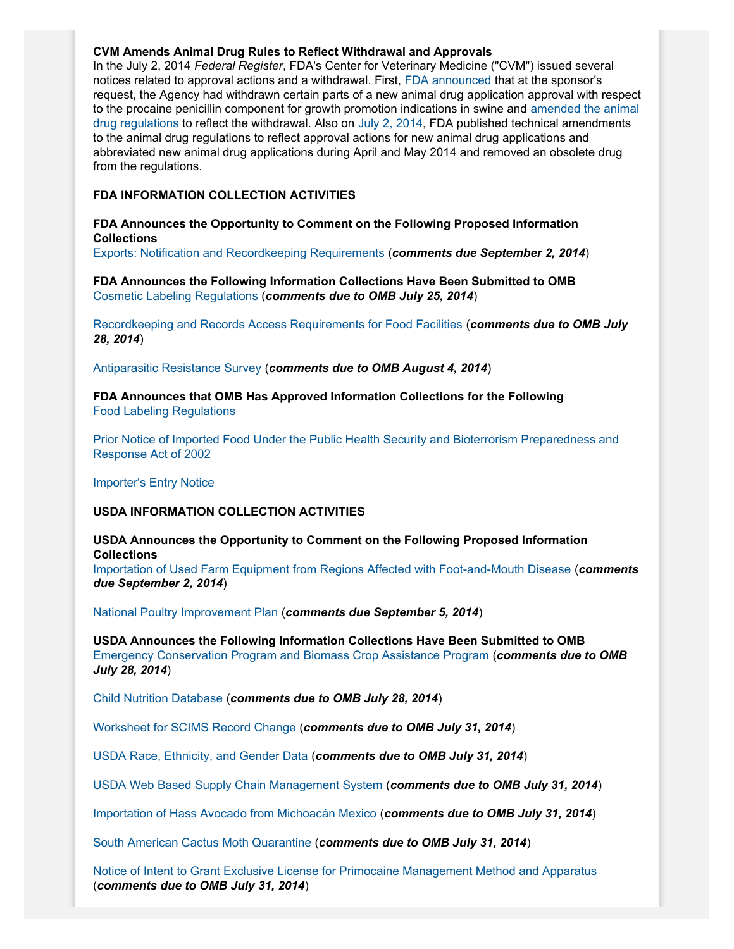## **CVM Amends Animal Drug Rules to Reflect Withdrawal and Approvals**

In the July 2, 2014 *Federal Register*, FDA's Center for Veterinary Medicine ("CVM") issued several notices related to approval actions and a withdrawal. First, [FDA announced](http://www.gpo.gov/fdsys/pkg/FR-2014-07-02/pdf/2014-15273.pdf) that at the sponsor's request, the Agency had withdrawn certain parts of a new animal drug application approval with respect to the procaine penicillin component for growth promotion indications in swine and [amended the animal](http://www.gpo.gov/fdsys/pkg/FR-2014-07-02/pdf/2014-15274.pdf) [drug regulations](http://www.gpo.gov/fdsys/pkg/FR-2014-07-02/pdf/2014-15274.pdf) to reflect the withdrawal. Also on [July 2, 2014,](http://www.gpo.gov/fdsys/pkg/FR-2014-07-02/pdf/2014-15276.pdf) FDA published technical amendments to the animal drug regulations to reflect approval actions for new animal drug applications and abbreviated new animal drug applications during April and May 2014 and removed an obsolete drug from the regulations.

## **FDA INFORMATION COLLECTION ACTIVITIES**

## **FDA Announces the Opportunity to Comment on the Following Proposed Information Collections**

[Exports: Notification and Recordkeeping Requirements](http://www.gpo.gov/fdsys/pkg/FR-2014-07-03/pdf/2014-15647.pdf) (*comments due September 2, 2014*)

**FDA Announces the Following Information Collections Have Been Submitted to OMB** [Cosmetic Labeling Regulations](http://www.gpo.gov/fdsys/pkg/FR-2014-06-25/pdf/2014-14768.pdf) (*comments due to OMB July 25, 2014*)

[Recordkeeping and Records Access Requirements for Food Facilities](http://www.gpo.gov/fdsys/pkg/FR-2014-06-26/pdf/2014-14977.pdf) (*comments due to OMB July 28, 2014*)

[Antiparasitic Resistance Survey](http://www.gpo.gov/fdsys/pkg/FR-2014-07-03/pdf/2014-15648.pdf) (*comments due to OMB August 4, 2014*)

**FDA Announces that OMB Has Approved Information Collections for the Following** [Food Labeling Regulations](http://www.gpo.gov/fdsys/pkg/FR-2014-06-27/pdf/2014-15036.pdf)

[Prior Notice of Imported Food Under the Public Health Security and Bioterrorism Preparedness and](http://www.gpo.gov/fdsys/pkg/FR-2014-06-27/pdf/2014-15036.pdf) [Response Act of 2002](http://www.gpo.gov/fdsys/pkg/FR-2014-06-27/pdf/2014-15036.pdf)

[Importer's Entry Notice](http://www.gpo.gov/fdsys/pkg/FR-2014-06-26/pdf/2014-14925.pdf)

## **USDA INFORMATION COLLECTION ACTIVITIES**

# **USDA Announces the Opportunity to Comment on the Following Proposed Information Collections** [Importation of Used Farm Equipment from Regions Affected with Foot-and-Mouth Disease](http://www.gpo.gov/fdsys/pkg/FR-2014-07-02/pdf/2014-15494.pdf) (*comments*

*due September 2, 2014*)

[National Poultry Improvement Plan](http://www.gpo.gov/fdsys/pkg/FR-2014-07-07/pdf/2014-15751.pdf) (*comments due September 5, 2014*)

**USDA Announces the Following Information Collections Have Been Submitted to OMB** [Emergency Conservation Program and Biomass Crop Assistance Program](http://www.gpo.gov/fdsys/pkg/FR-2014-06-27/pdf/2014-15046.pdf) (*comments due to OMB July 28, 2014*)

[Child Nutrition Database](http://www.gpo.gov/fdsys/pkg/FR-2014-06-27/pdf/2014-15050.pdf) (*comments due to OMB July 28, 2014*)

[Worksheet for SCIMS Record Change](http://www.gpo.gov/fdsys/pkg/FR-2014-07-01/pdf/2014-15341.pdf) (*comments due to OMB July 31, 2014*)

[USDA Race, Ethnicity, and Gender Data](http://www.gpo.gov/fdsys/pkg/FR-2014-07-01/pdf/2014-15343.pdf) (*comments due to OMB July 31, 2014*)

[USDA Web Based Supply Chain Management System](http://www.gpo.gov/fdsys/pkg/FR-2014-07-01/pdf/2014-15342.pdf) (*comments due to OMB July 31, 2014*)

[Importation of Hass Avocado from Michoacán Mexico](http://www.gpo.gov/fdsys/pkg/FR-2014-07-01/pdf/2014-15340.pdf) (*comments due to OMB July 31, 2014*)

[South American Cactus Moth Quarantine](http://www.gpo.gov/fdsys/pkg/FR-2014-07-01/pdf/2014-15340.pdf) (*comments due to OMB July 31, 2014*)

[Notice of Intent to Grant Exclusive License for Primocaine Management Method and Apparatus](http://www.gpo.gov/fdsys/pkg/FR-2014-07-01/pdf/2014-15344.pdf) (*comments due to OMB July 31, 2014*)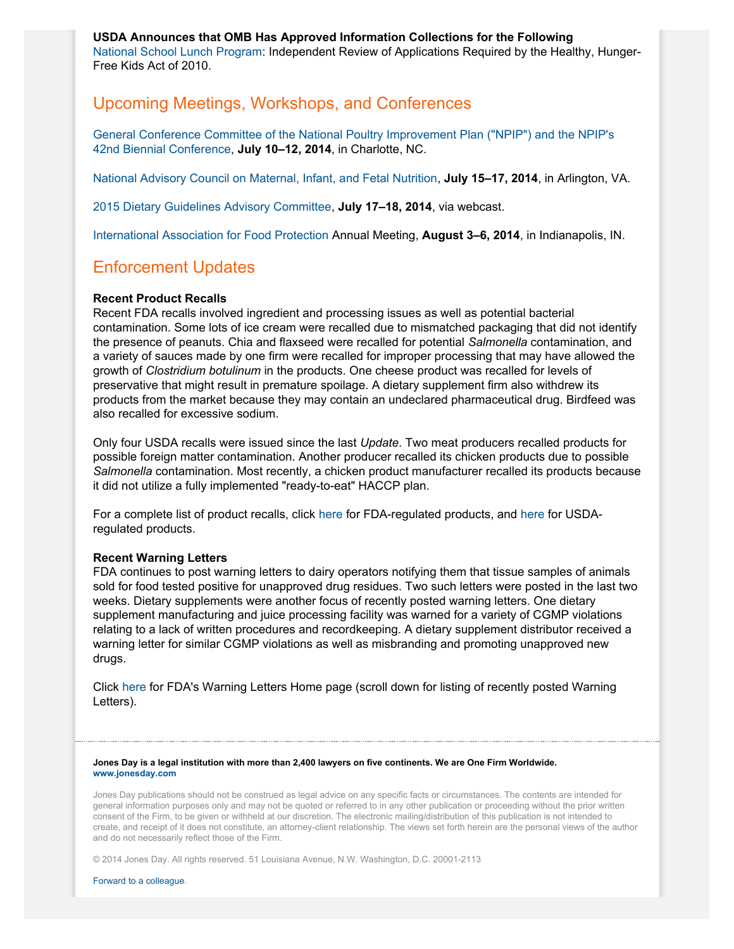**USDA Announces that OMB Has Approved Information Collections for the Following** [National School Lunch Program:](http://www.gpo.gov/fdsys/pkg/FR-2014-06-27/pdf/2014-15092.pdf) Independent Review of Applications Required by the Healthy, Hunger-Free Kids Act of 2010.

# Upcoming Meetings, Workshops, and Conferences

[General Conference Committee of the National Poultry Improvement Plan \("NPIP"\) and the NPIP's](http://www.gpo.gov/fdsys/pkg/FR-2014-04-08/pdf/2014-07847.pdf) [42nd Biennial Conference,](http://www.gpo.gov/fdsys/pkg/FR-2014-04-08/pdf/2014-07847.pdf) **July 10–12, 2014**, in Charlotte, NC.

[National Advisory Council on Maternal, Infant, and Fetal Nutrition,](http://www.gpo.gov/fdsys/pkg/FR-2014-06-09/pdf/2014-13285.pdf) **July 15–17, 2014**, in Arlington, VA.

[2015 Dietary Guidelines Advisory Committee,](http://www.gpo.gov/fdsys/pkg/FR-2014-05-23/pdf/2014-12010.pdf) **July 17–18, 2014**, via webcast.

[International Association for Food Protection](http://www.foodprotection.org/annualmeeting/) Annual Meeting, **August 3–6, 2014**, in Indianapolis, IN.

# Enforcement Updates

### **Recent Product Recalls**

Recent FDA recalls involved ingredient and processing issues as well as potential bacterial contamination. Some lots of ice cream were recalled due to mismatched packaging that did not identify the presence of peanuts. Chia and flaxseed were recalled for potential *Salmonella* contamination, and a variety of sauces made by one firm were recalled for improper processing that may have allowed the growth of *Clostridium botulinum* in the products. One cheese product was recalled for levels of preservative that might result in premature spoilage. A dietary supplement firm also withdrew its products from the market because they may contain an undeclared pharmaceutical drug. Birdfeed was also recalled for excessive sodium.

Only four USDA recalls were issued since the last *Update*. Two meat producers recalled products for possible foreign matter contamination. Another producer recalled its chicken products due to possible *Salmonella* contamination. Most recently, a chicken product manufacturer recalled its products because it did not utilize a fully implemented "ready-to-eat" HACCP plan.

For a complete list of product recalls, click [here](http://www.fda.gov/safety/recalls/) for FDA-regulated products, and [here](http://www.fsis.usda.gov/wps/portal/fsis/topics/recalls-and-public-health-alerts/current-recalls-and-alerts) for USDAregulated products.

### **Recent Warning Letters**

FDA continues to post warning letters to dairy operators notifying them that tissue samples of animals sold for food tested positive for unapproved drug residues. Two such letters were posted in the last two weeks. Dietary supplements were another focus of recently posted warning letters. One dietary supplement manufacturing and juice processing facility was warned for a variety of CGMP violations relating to a lack of written procedures and recordkeeping. A dietary supplement distributor received a warning letter for similar CGMP violations as well as misbranding and promoting unapproved new drugs.

Click [here](http://www.fda.gov/iceci/enforcementactions/WarningLetters/default.htm) for FDA's Warning Letters Home page (scroll down for listing of recently posted Warning Letters).

**Jones Day is a legal institution with more than 2,400 lawyers on five continents. We are One Firm Worldwide. [www.jonesday.com](http://www.jonesday.com)**

Jones Day publications should not be construed as legal advice on any specific facts or circumstances. The contents are intended for general information purposes only and may not be quoted or referred to in any other publication or proceeding without the prior written consent of the Firm, to be given or withheld at our discretion. The electronic mailing/distribution of this publication is not intended to create, and receipt of it does not constitute, an attorney-client relationship. The views set forth herein are the personal views of the author and do not necessarily reflect those of the Firm.

© 2014 Jones Day. All rights reserved. 51 Louisiana Avenue, N.W. Washington, D.C. 20001-2113

[Forward to a colleague.](http://thewritestuff.jonesday.com/cff/4212980aceb1968592550b55178b671d05e4a7f9/)